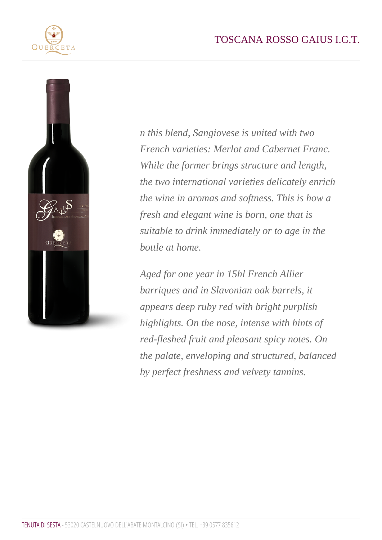n this blend, Sangiovese is united with two French varieties: Merlot and Cabernet Franc. While the former brings structure and length, the two international varieties delicately enrich the wine in aromas and softness. This is how a fresh and elegant wine is born, one that is suitable to drink immediately or to age in the bottle at home.

Aged for one year in 15hl French Allier barriques and in Slavonian oak barrels, it appears deep ruby red with bright purplish highlights. On the nose, intense with hints of red-fleshed fruit and pleasant spicy notes. On the palate, enveloping and structured, balanced by perfect freshness and velvety tannins.